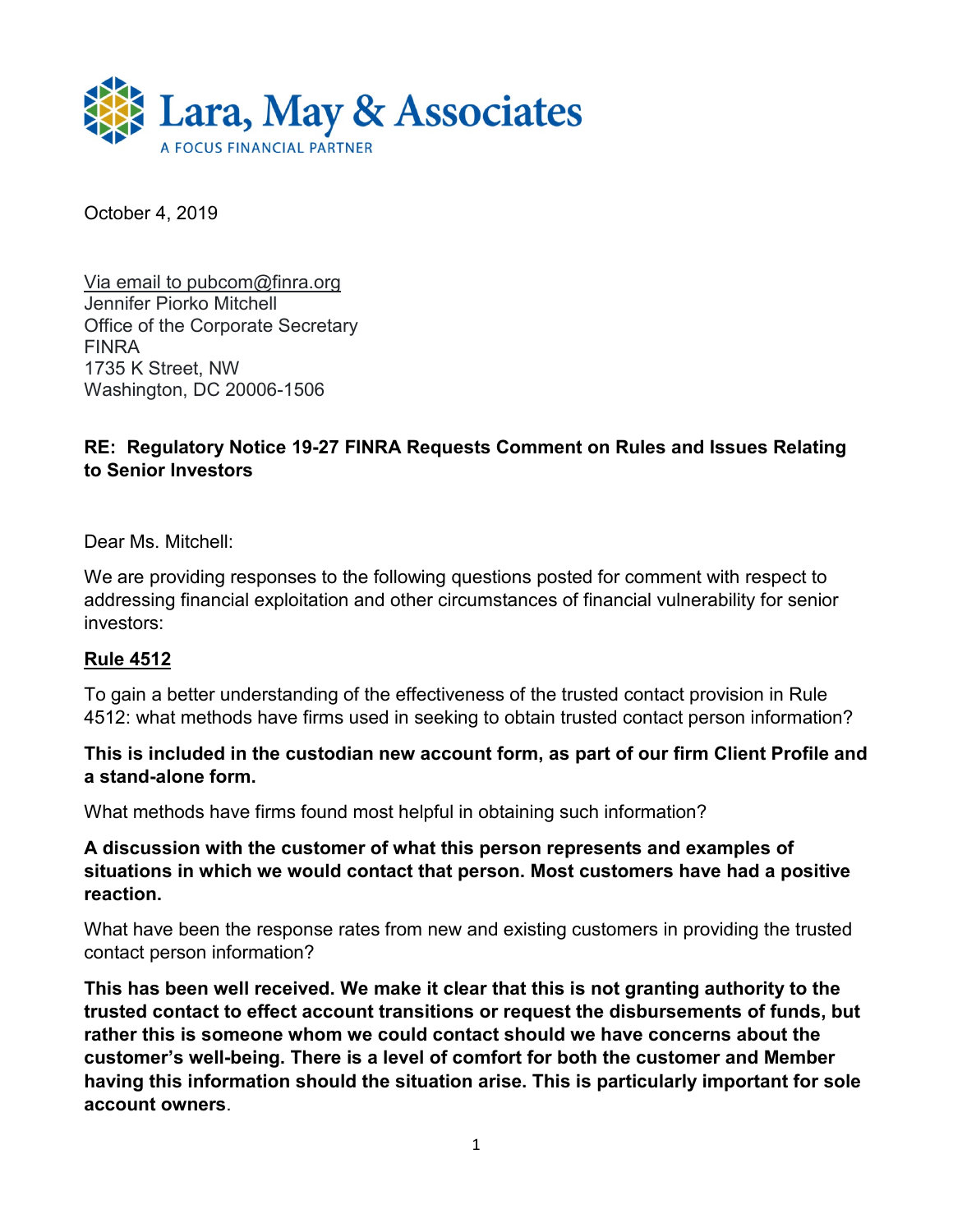

October 4, 2019

Via email to pubcom@finra.org Jennifer Piorko Mitchell Office of the Corporate Secretary FINRA 1735 K Street, NW Washington, DC 20006-1506

## **RE: Regulatory Notice 19-27 FINRA Requests Comment on Rules and Issues Relating to Senior Investors**

Dear Ms. Mitchell:

We are providing responses to the following questions posted for comment with respect to addressing financial exploitation and other circumstances of financial vulnerability for senior investors:

#### **Rule 4512**

To gain a better understanding of the effectiveness of the trusted contact provision in Rule 4512: what methods have firms used in seeking to obtain trusted contact person information?

### **This is included in the custodian new account form, as part of our firm Client Profile and a stand-alone form.**

What methods have firms found most helpful in obtaining such information?

### **A discussion with the customer of what this person represents and examples of situations in which we would contact that person. Most customers have had a positive reaction.**

What have been the response rates from new and existing customers in providing the trusted contact person information?

**This has been well received. We make it clear that this is not granting authority to the trusted contact to effect account transitions or request the disbursements of funds, but rather this is someone whom we could contact should we have concerns about the customer's well-being. There is a level of comfort for both the customer and Member having this information should the situation arise. This is particularly important for sole account owners**.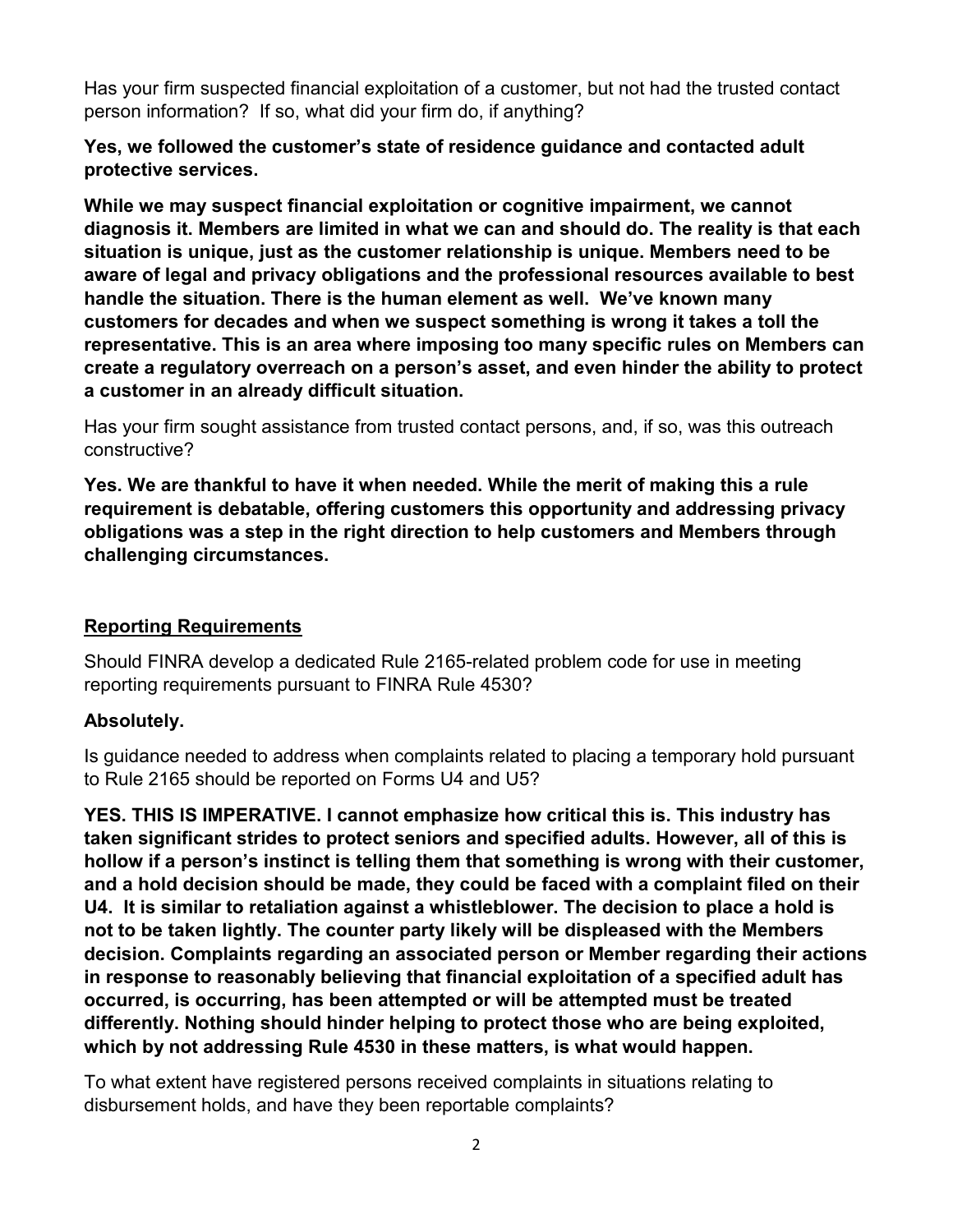Has your firm suspected financial exploitation of a customer, but not had the trusted contact person information? If so, what did your firm do, if anything?

## **Yes, we followed the customer's state of residence guidance and contacted adult protective services.**

**While we may suspect financial exploitation or cognitive impairment, we cannot diagnosis it. Members are limited in what we can and should do. The reality is that each situation is unique, just as the customer relationship is unique. Members need to be aware of legal and privacy obligations and the professional resources available to best handle the situation. There is the human element as well. We've known many customers for decades and when we suspect something is wrong it takes a toll the representative. This is an area where imposing too many specific rules on Members can create a regulatory overreach on a person's asset, and even hinder the ability to protect a customer in an already difficult situation.**

Has your firm sought assistance from trusted contact persons, and, if so, was this outreach constructive?

**Yes. We are thankful to have it when needed. While the merit of making this a rule requirement is debatable, offering customers this opportunity and addressing privacy obligations was a step in the right direction to help customers and Members through challenging circumstances.**

## **Reporting Requirements**

Should FINRA develop a dedicated Rule 2165-related problem code for use in meeting reporting requirements pursuant to FINRA Rule 4530?

# **Absolutely.**

Is guidance needed to address when complaints related to placing a temporary hold pursuant to Rule 2165 should be reported on Forms U4 and U5?

**YES. THIS IS IMPERATIVE. I cannot emphasize how critical this is. This industry has taken significant strides to protect seniors and specified adults. However, all of this is hollow if a person's instinct is telling them that something is wrong with their customer, and a hold decision should be made, they could be faced with a complaint filed on their U4. It is similar to retaliation against a whistleblower. The decision to place a hold is not to be taken lightly. The counter party likely will be displeased with the Members decision. Complaints regarding an associated person or Member regarding their actions in response to reasonably believing that financial exploitation of a specified adult has occurred, is occurring, has been attempted or will be attempted must be treated differently. Nothing should hinder helping to protect those who are being exploited, which by not addressing Rule 4530 in these matters, is what would happen.** 

To what extent have registered persons received complaints in situations relating to disbursement holds, and have they been reportable complaints?